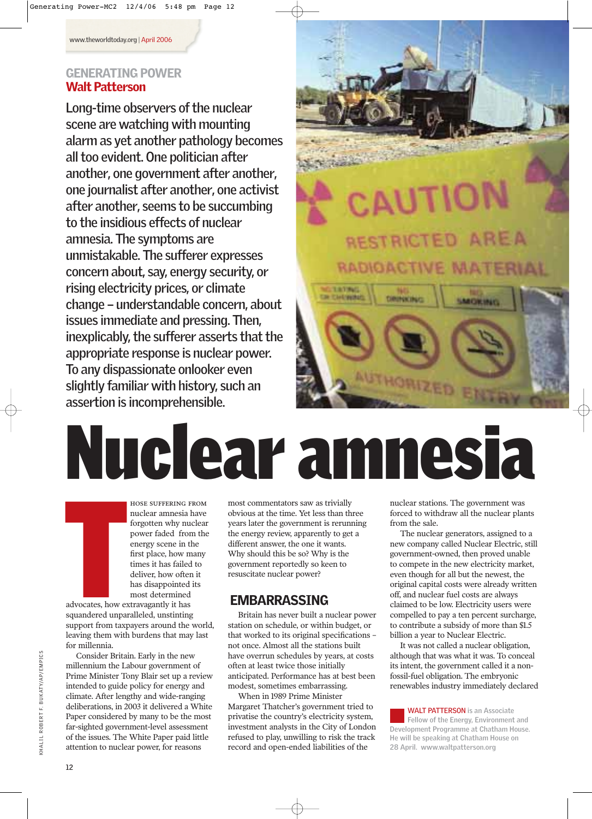## GENERATING POWER Walt Patterson

**Long-time observers of the nuclear scene are watching with mounting alarm as yet another pathology becomes all too evident. One politician after another, one government after another, one journalist after another, one activist after another, seems to be succumbing to the insidious effects of nuclear amnesia. The symptoms are unmistakable. The sufferer expresses concern about, say, energy security, or rising electricity prices, or climate change – understandable concern, about issues immediate and pressing. Then, inexplicably, the sufferer asserts that the appropriate response is nuclear power. To any dispassionate onlooker even slightly familiar with history, such an assertion is incomprehensible.**



# Nuclear amnesia

hose suffering from nuclear amnesia have forgotten why nuclear power faded from the energy scene in the first place, how many times it has failed to deliver, how often it has disappointed its most determined

Example 3 and 3 and 3 and 4 and 4 and 4 and 4 and 4 and 4 and 4 and 4 and 4 and 4 and 4 and 4 and 4 and 4 and 4 and 4 and 4 and 4 and 4 and 4 and 4 and 4 and 4 and 4 and 4 and 4 and 4 and 4 and 4 and 4 and 4 and 4 and 4 an advocates, how extravagantly it has squandered unparalleled, unstinting support from taxpayers around the world, leaving them with burdens that may last for millennia.

Consider Britain. Early in the new millennium the Labour government of Prime Minister Tony Blair set up a review intended to guide policy for energy and climate. After lengthy and wide-ranging deliberations, in 2003 it delivered a White Paper considered by many to be the most far-sighted government-level assessment of the issues. The White Paper paid little attention to nuclear power, for reasons

most commentators saw as trivially obvious at the time. Yet less than three years later the government is rerunning the energy review, apparently to get a different answer, the one it wants. Why should this be so? Why is the government reportedly so keen to resuscitate nuclear power?

# EMBARRASSING

Britain has never built a nuclear power station on schedule, or within budget, or that worked to its original specifications – not once. Almost all the stations built have overrun schedules by years, at costs often at least twice those initially anticipated. Performance has at best been modest, sometimes embarrassing.

When in 1989 Prime Minister Margaret Thatcher's government tried to privatise the country's electricity system, investment analysts in the City of London refused to play, unwilling to risk the track record and open-ended liabilities of the

nuclear stations. The government was forced to withdraw all the nuclear plants from the sale.

The nuclear generators, assigned to a new company called Nuclear Electric, still government-owned, then proved unable to compete in the new electricity market, even though for all but the newest, the original capital costs were already written off, and nuclear fuel costs are always claimed to be low. Electricity users were compelled to pay a ten percent surcharge, to contribute a subsidy of more than \$1.5 billion a year to Nuclear Electric.

It was not called a nuclear obligation, although that was what it was. To conceal its intent, the government called it a nonfossil-fuel obligation. The embryonic renewables industry immediately declared

**WALT PATTERSON is an Associate Fellow of the Energy, Environment and Development Programme at Chatham House. He will be speaking at Chatham House on 28 April. www.waltpatterson.org**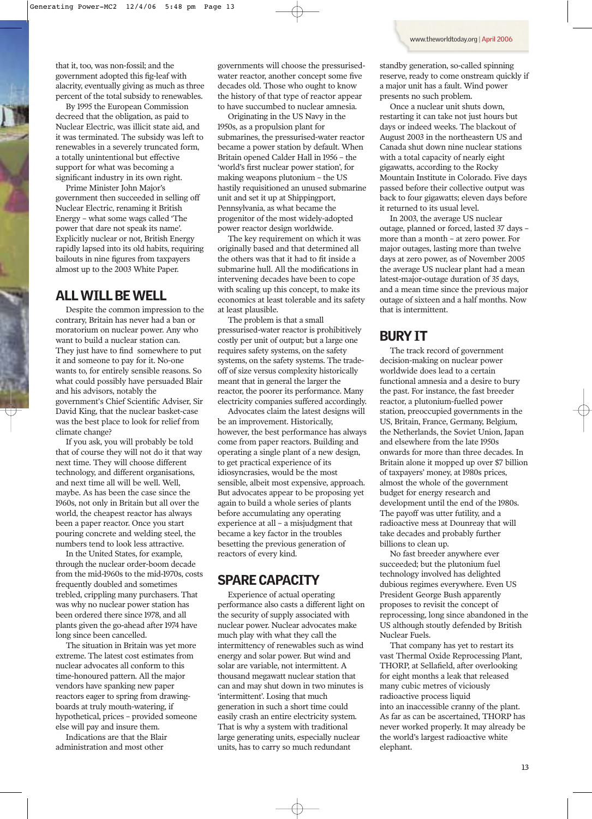that it, too, was non-fossil; and the government adopted this fig-leaf with alacrity, eventually giving as much as three percent of the total subsidy to renewables.

By 1995 the European Commission decreed that the obligation, as paid to Nuclear Electric, was illicit state aid, and it was terminated. The subsidy was left to renewables in a severely truncated form, a totally unintentional but effective support for what was becoming a significant industry in its own right.

Prime Minister John Major's government then succeeded in selling off Nuclear Electric, renaming it British Energy – what some wags called 'The power that dare not speak its name'. Explicitly nuclear or not, British Energy rapidly lapsed into its old habits, requiring bailouts in nine figures from taxpayers almost up to the 2003 White Paper.

### ALL WILL BE WELL

Despite the common impression to the contrary, Britain has never had a ban or moratorium on nuclear power. Any who want to build a nuclear station can. They just have to find somewhere to put it and someone to pay for it. No-one wants to, for entirely sensible reasons. So what could possibly have persuaded Blair and his advisors, notably the government's Chief Scientific Adviser, Sir David King, that the nuclear basket-case was the best place to look for relief from climate change?

If you ask, you will probably be told that of course they will not do it that way next time. They will choose different technology, and different organisations, and next time all will be well. Well, maybe. As has been the case since the 1960s, not only in Britain but all over the world, the cheapest reactor has always been a paper reactor. Once you start pouring concrete and welding steel, the numbers tend to look less attractive.

In the United States, for example, through the nuclear order-boom decade from the mid-1960s to the mid-1970s, costs frequently doubled and sometimes trebled, crippling many purchasers. That was why no nuclear power station has been ordered there since 1978, and all plants given the go-ahead after 1974 have long since been cancelled.

The situation in Britain was yet more extreme. The latest cost estimates from nuclear advocates all conform to this time-honoured pattern. All the major vendors have spanking new paper reactors eager to spring from drawingboards at truly mouth-watering, if hypothetical, prices – provided someone else will pay and insure them.

Indications are that the Blair administration and most other

governments will choose the pressurisedwater reactor, another concept some five decades old. Those who ought to know the history of that type of reactor appear to have succumbed to nuclear amnesia.

Originating in the US Navy in the 1950s, as a propulsion plant for submarines, the pressurised-water reactor became a power station by default. When Britain opened Calder Hall in 1956 – the 'world's first nuclear power station', for making weapons plutonium – the US hastily requisitioned an unused submarine unit and set it up at Shippingport, Pennsylvania, as what became the progenitor of the most widely-adopted power reactor design worldwide.

The key requirement on which it was originally based and that determined all the others was that it had to fit inside a submarine hull. All the modifications in intervening decades have been to cope with scaling up this concept, to make its economics at least tolerable and its safety at least plausible.

The problem is that a small pressurised-water reactor is prohibitively costly per unit of output; but a large one requires safety systems, on the safety systems, on the safety systems. The tradeoff of size versus complexity historically meant that in general the larger the reactor, the poorer its performance. Many electricity companies suffered accordingly.

Advocates claim the latest designs will be an improvement. Historically, however, the best performance has always come from paper reactors. Building and operating a single plant of a new design, to get practical experience of its idiosyncrasies, would be the most sensible, albeit most expensive, approach. But advocates appear to be proposing yet again to build a whole series of plants before accumulating any operating experience at all – a misjudgment that became a key factor in the troubles besetting the previous generation of reactors of every kind.

### SPARE CAPACITY

Experience of actual operating performance also casts a different light on the security of supply associated with nuclear power. Nuclear advocates make much play with what they call the intermittency of renewables such as wind energy and solar power. But wind and solar are variable, not intermittent. A thousand megawatt nuclear station that can and may shut down in two minutes is 'intermittent'. Losing that much generation in such a short time could easily crash an entire electricity system. That is why a system with traditional large generating units, especially nuclear units, has to carry so much redundant

standby generation, so-called spinning reserve, ready to come onstream quickly if a major unit has a fault. Wind power presents no such problem.

Once a nuclear unit shuts down, restarting it can take not just hours but days or indeed weeks. The blackout of August 2003 in the northeastern US and Canada shut down nine nuclear stations with a total capacity of nearly eight gigawatts, according to the Rocky Mountain Institute in Colorado. Five days passed before their collective output was back to four gigawatts; eleven days before it returned to its usual level.

In 2003, the average US nuclear outage, planned or forced, lasted 37 days – more than a month – at zero power. For major outages, lasting more than twelve days at zero power, as of November 2005 the average US nuclear plant had a mean latest-major-outage duration of 35 days, and a mean time since the previous major outage of sixteen and a half months. Now that is intermittent.

### BURY IT

The track record of government decision-making on nuclear power worldwide does lead to a certain functional amnesia and a desire to bury the past. For instance, the fast breeder reactor, a plutonium-fuelled power station, preoccupied governments in the US, Britain, France, Germany, Belgium, the Netherlands, the Soviet Union, Japan and elsewhere from the late 1950s onwards for more than three decades. In Britain alone it mopped up over \$7 billion of taxpayers' money, at 1980s prices, almost the whole of the government budget for energy research and development until the end of the 1980s. The payoff was utter futility, and a radioactive mess at Dounreay that will take decades and probably further billions to clean up.

No fast breeder anywhere ever succeeded; but the plutonium fuel technology involved has delighted dubious regimes everywhere. Even US President George Bush apparently proposes to revisit the concept of reprocessing, long since abandoned in the US although stoutly defended by British Nuclear Fuels.

That company has yet to restart its vast Thermal Oxide Reprocessing Plant, THORP, at Sellafield, after overlooking for eight months a leak that released many cubic metres of viciously radioactive process liquid into an inaccessible cranny of the plant. As far as can be ascertained, THORP has never worked properly. It may already be the world's largest radioactive white elephant.